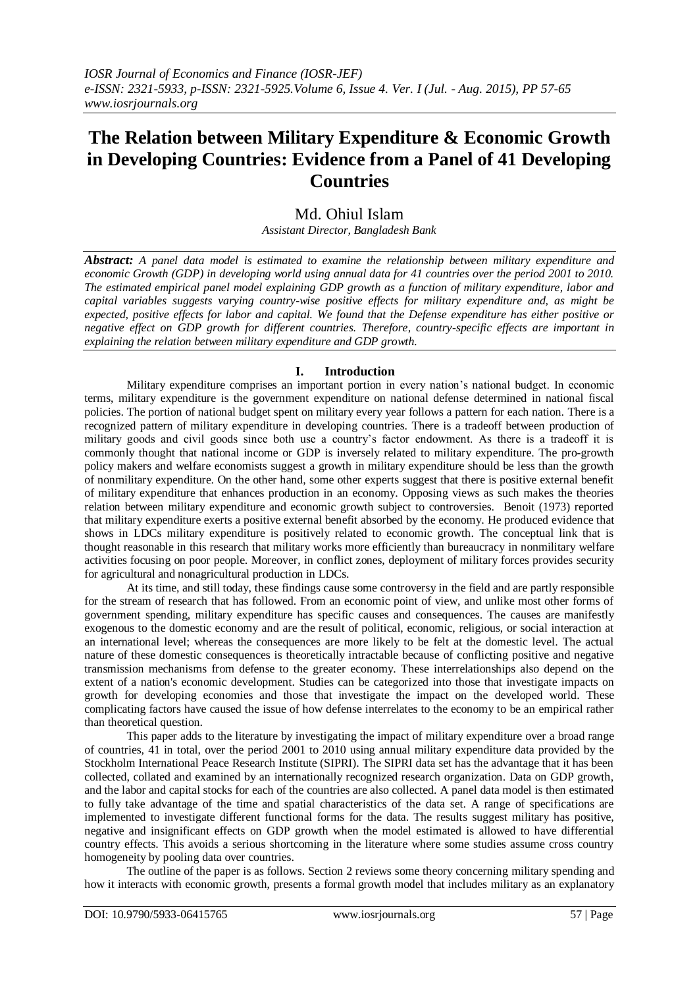# **The Relation between Military Expenditure & Economic Growth in Developing Countries: Evidence from a Panel of 41 Developing Countries**

# Md. Ohiul Islam

*Assistant Director, Bangladesh Bank*

*Abstract: A panel data model is estimated to examine the relationship between military expenditure and economic Growth (GDP) in developing world using annual data for 41 countries over the period 2001 to 2010. The estimated empirical panel model explaining GDP growth as a function of military expenditure, labor and capital variables suggests varying country-wise positive effects for military expenditure and, as might be expected, positive effects for labor and capital. We found that the Defense expenditure has either positive or negative effect on GDP growth for different countries. Therefore, country-specific effects are important in explaining the relation between military expenditure and GDP growth.*

# **I. Introduction**

Military expenditure comprises an important portion in every nation's national budget. In economic terms, military expenditure is the government expenditure on national defense determined in national fiscal policies. The portion of national budget spent on military every year follows a pattern for each nation. There is a recognized pattern of military expenditure in developing countries. There is a tradeoff between production of military goods and civil goods since both use a country's factor endowment. As there is a tradeoff it is commonly thought that national income or GDP is inversely related to military expenditure. The pro-growth policy makers and welfare economists suggest a growth in military expenditure should be less than the growth of nonmilitary expenditure. On the other hand, some other experts suggest that there is positive external benefit of military expenditure that enhances production in an economy. Opposing views as such makes the theories relation between military expenditure and economic growth subject to controversies. Benoit (1973) reported that military expenditure exerts a positive external benefit absorbed by the economy. He produced evidence that shows in LDCs military expenditure is positively related to economic growth. The conceptual link that is thought reasonable in this research that military works more efficiently than bureaucracy in nonmilitary welfare activities focusing on poor people. Moreover, in conflict zones, deployment of military forces provides security for agricultural and nonagricultural production in LDCs.

At its time, and still today, these findings cause some controversy in the field and are partly responsible for the stream of research that has followed. From an economic point of view, and unlike most other forms of government spending, military expenditure has specific causes and consequences. The causes are manifestly exogenous to the domestic economy and are the result of political, economic, religious, or social interaction at an international level; whereas the consequences are more likely to be felt at the domestic level. The actual nature of these domestic consequences is theoretically intractable because of conflicting positive and negative transmission mechanisms from defense to the greater economy. These interrelationships also depend on the extent of a nation's economic development. Studies can be categorized into those that investigate impacts on growth for developing economies and those that investigate the impact on the developed world. These complicating factors have caused the issue of how defense interrelates to the economy to be an empirical rather than theoretical question.

This paper adds to the literature by investigating the impact of military expenditure over a broad range of countries, 41 in total, over the period 2001 to 2010 using annual military expenditure data provided by the Stockholm International Peace Research Institute (SIPRI). The SIPRI data set has the advantage that it has been collected, collated and examined by an internationally recognized research organization. Data on GDP growth, and the labor and capital stocks for each of the countries are also collected. A panel data model is then estimated to fully take advantage of the time and spatial characteristics of the data set. A range of specifications are implemented to investigate different functional forms for the data. The results suggest military has positive, negative and insignificant effects on GDP growth when the model estimated is allowed to have differential country effects. This avoids a serious shortcoming in the literature where some studies assume cross country homogeneity by pooling data over countries.

The outline of the paper is as follows. Section 2 reviews some theory concerning military spending and how it interacts with economic growth, presents a formal growth model that includes military as an explanatory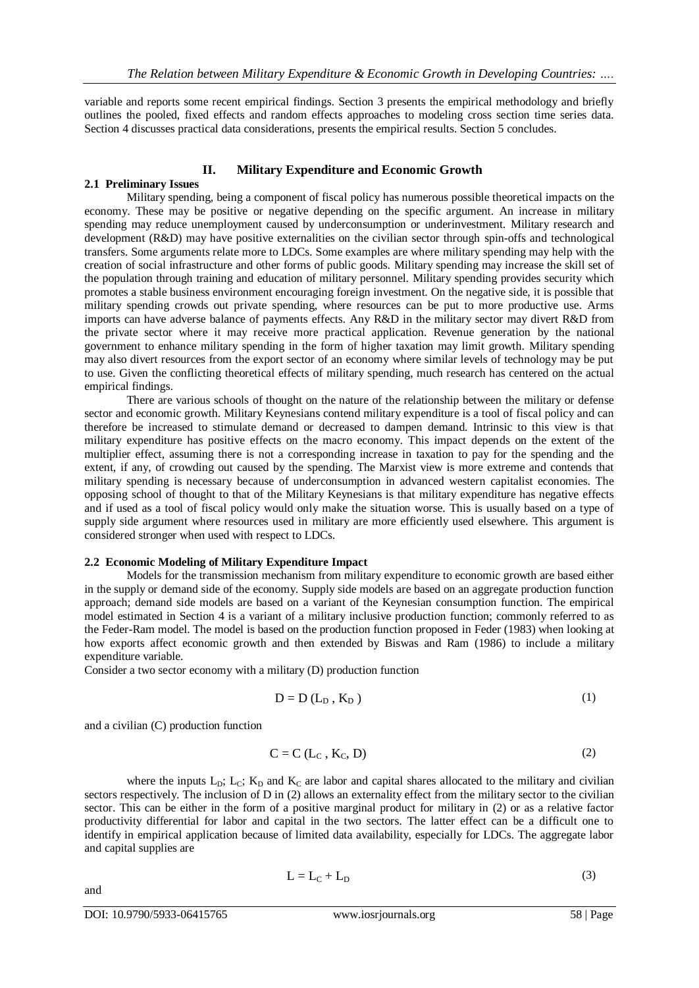variable and reports some recent empirical findings. Section 3 presents the empirical methodology and briefly outlines the pooled, fixed effects and random effects approaches to modeling cross section time series data. Section 4 discusses practical data considerations, presents the empirical results. Section 5 concludes.

# **II. Military Expenditure and Economic Growth**

# **2.1 Preliminary Issues**

Military spending, being a component of fiscal policy has numerous possible theoretical impacts on the economy. These may be positive or negative depending on the specific argument. An increase in military spending may reduce unemployment caused by underconsumption or underinvestment. Military research and development (R&D) may have positive externalities on the civilian sector through spin-offs and technological transfers. Some arguments relate more to LDCs. Some examples are where military spending may help with the creation of social infrastructure and other forms of public goods. Military spending may increase the skill set of the population through training and education of military personnel. Military spending provides security which promotes a stable business environment encouraging foreign investment. On the negative side, it is possible that military spending crowds out private spending, where resources can be put to more productive use. Arms imports can have adverse balance of payments effects. Any R&D in the military sector may divert R&D from the private sector where it may receive more practical application. Revenue generation by the national government to enhance military spending in the form of higher taxation may limit growth. Military spending may also divert resources from the export sector of an economy where similar levels of technology may be put to use. Given the conflicting theoretical effects of military spending, much research has centered on the actual empirical findings.

There are various schools of thought on the nature of the relationship between the military or defense sector and economic growth. Military Keynesians contend military expenditure is a tool of fiscal policy and can therefore be increased to stimulate demand or decreased to dampen demand. Intrinsic to this view is that military expenditure has positive effects on the macro economy. This impact depends on the extent of the multiplier effect, assuming there is not a corresponding increase in taxation to pay for the spending and the extent, if any, of crowding out caused by the spending. The Marxist view is more extreme and contends that military spending is necessary because of underconsumption in advanced western capitalist economies. The opposing school of thought to that of the Military Keynesians is that military expenditure has negative effects and if used as a tool of fiscal policy would only make the situation worse. This is usually based on a type of supply side argument where resources used in military are more efficiently used elsewhere. This argument is considered stronger when used with respect to LDCs.

#### **2.2 Economic Modeling of Military Expenditure Impact**

Models for the transmission mechanism from military expenditure to economic growth are based either in the supply or demand side of the economy. Supply side models are based on an aggregate production function approach; demand side models are based on a variant of the Keynesian consumption function. The empirical model estimated in Section 4 is a variant of a military inclusive production function; commonly referred to as the Feder-Ram model. The model is based on the production function proposed in Feder (1983) when looking at how exports affect economic growth and then extended by Biswas and Ram (1986) to include a military expenditure variable.

Consider a two sector economy with a military (D) production function

$$
D = D(L_D, K_D) \tag{1}
$$

and a civilian (C) production function

$$
C = C (L_C, K_C, D) \tag{2}
$$

where the inputs  $L_{D}$ ;  $L_{C}$ ;  $K_{D}$  and  $K_{C}$  are labor and capital shares allocated to the military and civilian sectors respectively. The inclusion of D in (2) allows an externality effect from the military sector to the civilian sector. This can be either in the form of a positive marginal product for military in (2) or as a relative factor productivity differential for labor and capital in the two sectors. The latter effect can be a difficult one to identify in empirical application because of limited data availability, especially for LDCs. The aggregate labor and capital supplies are

$$
L = L_C + L_D \tag{3}
$$

and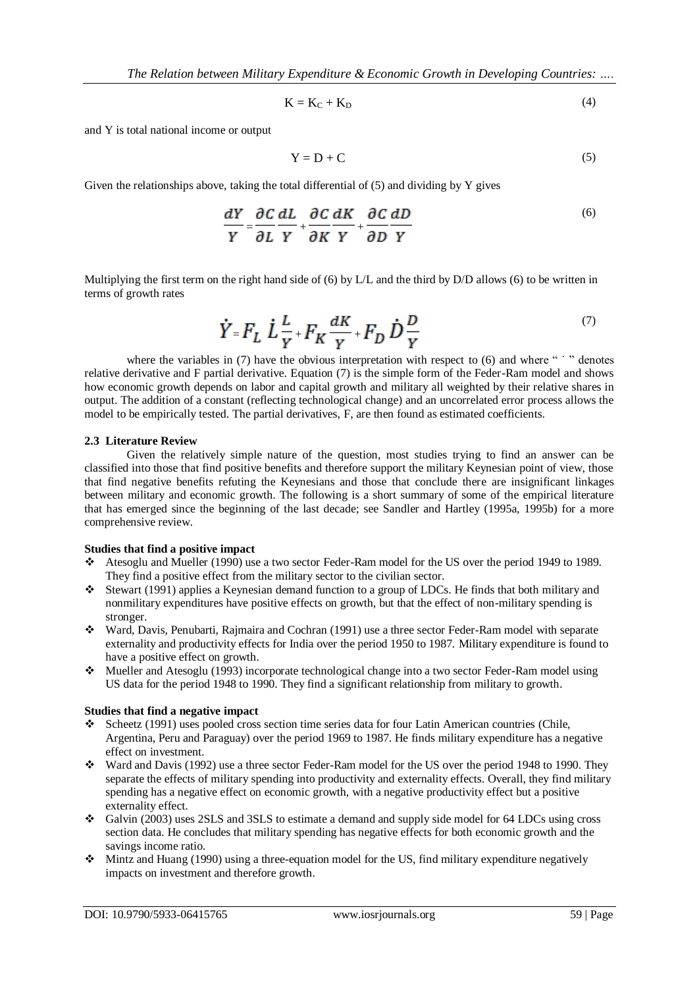$$
K = K_C + K_D \tag{4}
$$

and Y is total national income or output

$$
Y = D + C \tag{5}
$$

Given the relationships above, taking the total differential of (5) and dividing by Y gives

$$
\frac{dY}{Y} = \frac{\partial C}{\partial L} \frac{dL}{Y} + \frac{\partial C}{\partial K} \frac{dK}{Y} + \frac{\partial C}{\partial D} \frac{dD}{Y}
$$
(6)

Multiplying the first term on the right hand side of (6) by L/L and the third by D/D allows (6) to be written in terms of growth rates

$$
\dot{Y} = F_L \dot{L} \frac{L}{Y} + F_K \frac{dK}{Y} + F_D \dot{D} \frac{D}{Y}
$$
\n<sup>(7)</sup>

where the variables in (7) have the obvious interpretation with respect to (6) and where  $\cdot \cdot \cdot$  denotes relative derivative and F partial derivative. Equation (7) is the simple form of the Feder-Ram model and shows how economic growth depends on labor and capital growth and military all weighted by their relative shares in output. The addition of a constant (reflecting technological change) and an uncorrelated error process allows the model to be empirically tested. The partial derivatives, F, are then found as estimated coefficients.

#### **2.3 Literature Review**

Given the relatively simple nature of the question, most studies trying to find an answer can be classified into those that find positive benefits and therefore support the military Keynesian point of view, those that find negative benefits refuting the Keynesians and those that conclude there are insignificant linkages between military and economic growth. The following is a short summary of some of the empirical literature that has emerged since the beginning of the last decade; see Sandler and Hartley (1995a, 1995b) for a more comprehensive review.

#### **Studies that find a positive impact**

- Atesoglu and Mueller (1990) use a two sector Feder-Ram model for the US over the period 1949 to 1989. They find a positive effect from the military sector to the civilian sector.
- Stewart (1991) applies a Keynesian demand function to a group of LDCs. He finds that both military and nonmilitary expenditures have positive effects on growth, but that the effect of non-military spending is stronger.
- Ward, Davis, Penubarti, Rajmaira and Cochran (1991) use a three sector Feder-Ram model with separate externality and productivity effects for India over the period 1950 to 1987. Military expenditure is found to have a positive effect on growth.
- Mueller and Atesoglu (1993) incorporate technological change into a two sector Feder-Ram model using US data for the period 1948 to 1990. They find a significant relationship from military to growth.

#### **Studies that find a negative impact**

- Scheetz (1991) uses pooled cross section time series data for four Latin American countries (Chile, Argentina, Peru and Paraguay) over the period 1969 to 1987. He finds military expenditure has a negative effect on investment.
- Ward and Davis (1992) use a three sector Feder-Ram model for the US over the period 1948 to 1990. They separate the effects of military spending into productivity and externality effects. Overall, they find military spending has a negative effect on economic growth, with a negative productivity effect but a positive externality effect.
- Galvin (2003) uses 2SLS and 3SLS to estimate a demand and supply side model for 64 LDCs using cross section data. He concludes that military spending has negative effects for both economic growth and the savings income ratio.
- $\bullet$  Mintz and Huang (1990) using a three-equation model for the US, find military expenditure negatively impacts on investment and therefore growth.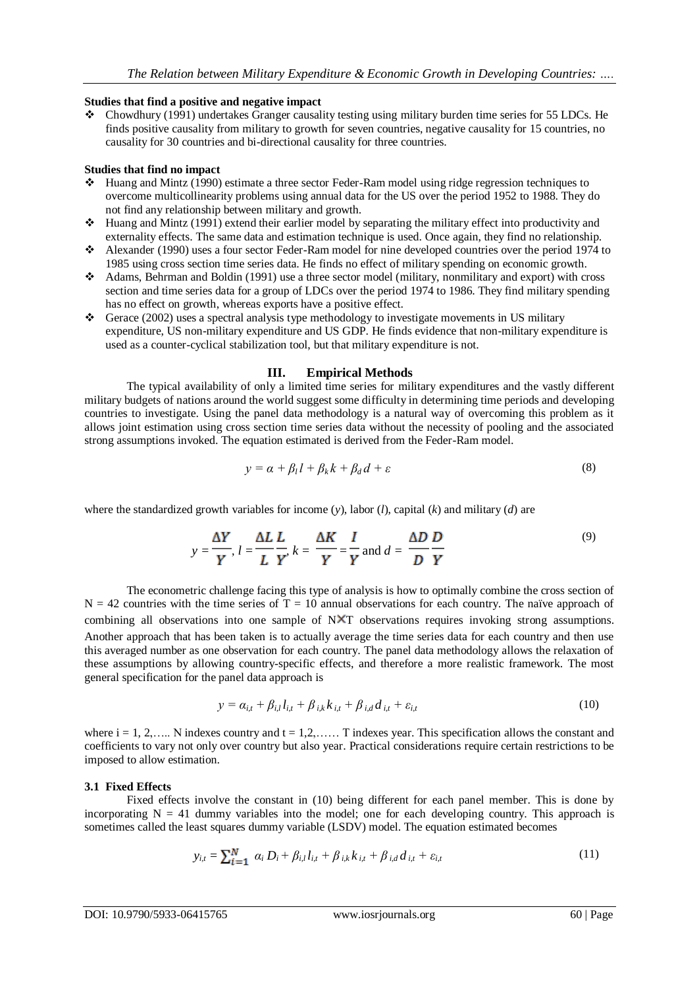# **Studies that find a positive and negative impact**

• Chowdhury (1991) undertakes Granger causality testing using military burden time series for 55 LDCs. He finds positive causality from military to growth for seven countries, negative causality for 15 countries, no causality for 30 countries and bi-directional causality for three countries.

# **Studies that find no impact**

- Huang and Mintz (1990) estimate a three sector Feder-Ram model using ridge regression techniques to overcome multicollinearity problems using annual data for the US over the period 1952 to 1988. They do not find any relationship between military and growth.
- $\cdot \cdot$  Huang and Mintz (1991) extend their earlier model by separating the military effect into productivity and externality effects. The same data and estimation technique is used. Once again, they find no relationship.
- Alexander (1990) uses a four sector Feder-Ram model for nine developed countries over the period 1974 to 1985 using cross section time series data. He finds no effect of military spending on economic growth.
- Adams, Behrman and Boldin (1991) use a three sector model (military, nonmilitary and export) with cross section and time series data for a group of LDCs over the period 1974 to 1986. They find military spending has no effect on growth, whereas exports have a positive effect.
- Gerace (2002) uses a spectral analysis type methodology to investigate movements in US military expenditure, US non-military expenditure and US GDP. He finds evidence that non-military expenditure is used as a counter-cyclical stabilization tool, but that military expenditure is not.

# **III. Empirical Methods**

The typical availability of only a limited time series for military expenditures and the vastly different military budgets of nations around the world suggest some difficulty in determining time periods and developing countries to investigate. Using the panel data methodology is a natural way of overcoming this problem as it allows joint estimation using cross section time series data without the necessity of pooling and the associated strong assumptions invoked. The equation estimated is derived from the Feder-Ram model.

$$
y = \alpha + \beta_l l + \beta_k k + \beta_d d + \varepsilon \tag{8}
$$

where the standardized growth variables for income (*y*), labor (*l*), capital (*k*) and military (*d*) are

$$
y = \frac{\Delta Y}{Y}, l = \frac{\Delta L}{L} \frac{L}{Y}, k = \frac{\Delta K}{Y} = \frac{I}{Y} \text{ and } d = \frac{\Delta D}{D} \frac{D}{Y}
$$
(9)

The econometric challenge facing this type of analysis is how to optimally combine the cross section of  $N = 42$  countries with the time series of T = 10 annual observations for each country. The naïve approach of combining all observations into one sample of NXT observations requires invoking strong assumptions. Another approach that has been taken is to actually average the time series data for each country and then use this averaged number as one observation for each country. The panel data methodology allows the relaxation of these assumptions by allowing country-specific effects, and therefore a more realistic framework. The most general specification for the panel data approach is

$$
y = \alpha_{i,t} + \beta_{i,l} l_{i,t} + \beta_{i,k} k_{i,t} + \beta_{i,d} d_{i,t} + \varepsilon_{i,t}
$$
\n
$$
(10)
$$

where  $i = 1, 2, \ldots$ . N indexes country and  $t = 1, 2, \ldots$ . T indexes year. This specification allows the constant and coefficients to vary not only over country but also year. Practical considerations require certain restrictions to be imposed to allow estimation.

#### **3.1 Fixed Effects**

Fixed effects involve the constant in (10) being different for each panel member. This is done by incorporating  $N = 41$  dummy variables into the model; one for each developing country. This approach is sometimes called the least squares dummy variable (LSDV) model. The equation estimated becomes

$$
y_{i,t} = \sum_{i=1}^{N} \alpha_i D_i + \beta_{i,t} l_{i,t} + \beta_{i,k} k_{i,t} + \beta_{i,d} d_{i,t} + \varepsilon_{i,t}
$$
 (11)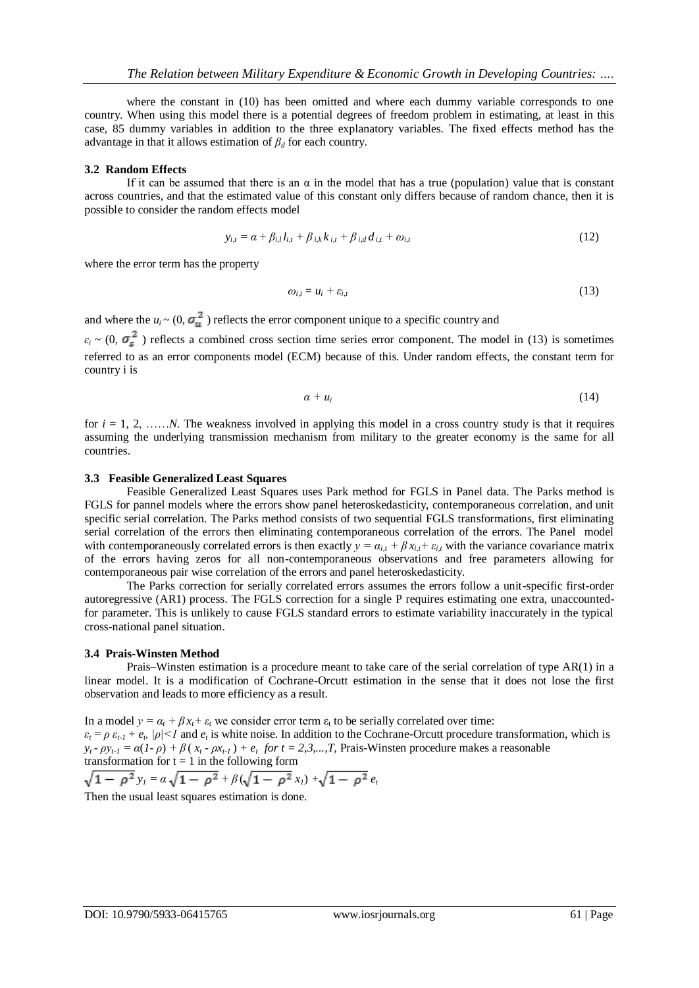where the constant in (10) has been omitted and where each dummy variable corresponds to one country. When using this model there is a potential degrees of freedom problem in estimating, at least in this case, 85 dummy variables in addition to the three explanatory variables. The fixed effects method has the advantage in that it allows estimation of  $\beta_d$  for each country.

#### **3.2 Random Effects**

If it can be assumed that there is an  $\alpha$  in the model that has a true (population) value that is constant across countries, and that the estimated value of this constant only differs because of random chance, then it is possible to consider the random effects model

$$
y_{i,t} = \alpha + \beta_{i,l} l_{i,t} + \beta_{i,k} k_{i,t} + \beta_{i,d} d_{i,t} + \omega_{i,t}
$$
 (12)

where the error term has the property

$$
\omega_{i,t} = u_i + \varepsilon_{i,t} \tag{13}
$$

and where the  $u_i \sim (0, \sigma_u^2)$  reflects the error component unique to a specific country and  $\varepsilon_i$  ~ (0,  $\sigma_z^2$ ) reflects a combined cross section time series error component. The model in (13) is sometimes referred to as an error components model (ECM) because of this. Under random effects, the constant term for country i is

$$
\alpha + u_i \tag{14}
$$

for  $i = 1, 2, \ldots, N$ . The weakness involved in applying this model in a cross country study is that it requires assuming the underlying transmission mechanism from military to the greater economy is the same for all countries.

#### **3.3 Feasible Generalized Least Squares**

Feasible Generalized Least Squares uses Park method for FGLS in Panel data. The Parks method is FGLS for pannel models where the errors show panel heteroskedasticity, contemporaneous correlation, and unit specific serial correlation. The Parks method consists of two sequential FGLS transformations, first eliminating serial correlation of the errors then eliminating contemporaneous correlation of the errors. The Panel model with contemporaneously correlated errors is then exactly  $y = \alpha_{i,t} + \beta x_{i,t} + \varepsilon_{i,t}$  with the variance covariance matrix of the errors having zeros for all non-contemporaneous observations and free parameters allowing for contemporaneous pair wise correlation of the errors and panel heteroskedasticity.

The Parks correction for serially correlated errors assumes the errors follow a unit-specific first-order autoregressive (AR1) process. The FGLS correction for a single P requires estimating one extra, unaccountedfor parameter. This is unlikely to cause FGLS standard errors to estimate variability inaccurately in the typical cross-national panel situation.

#### **3.4 Prais-Winsten Method**

Prais–Winsten estimation is a procedure meant to take care of the serial correlation of type AR(1) in a linear model. It is a modification of Cochrane-Orcutt estimation in the sense that it does not lose the first observation and leads to more efficiency as a result.

In a model  $y = \alpha_t + \beta x_t + \varepsilon_t$  we consider error term  $\varepsilon_t$  to be serially correlated over time:  $\varepsilon_t = \rho \varepsilon_{t-1} + e_t$ ,  $|\rho| < 1$  and  $e_t$  is white noise. In addition to the Cochrane-Orcutt procedure transformation, which is  $y_t - \rho y_{t-1} = \alpha (1 - \rho) + \beta (x_t - \rho x_{t-1}) + e_t$  for  $t = 2, 3, \dots, T$ , Prais-Winsten procedure makes a reasonable transformation for  $t = 1$  in the following form

$$
\sqrt{1-\rho^2}\,y_I = \alpha\,\sqrt{1-\rho^2} + \beta\,(\sqrt{1-\rho^2}\,x_I) + \sqrt{1-\rho^2}\,e_I
$$

Then the usual least squares estimation is done.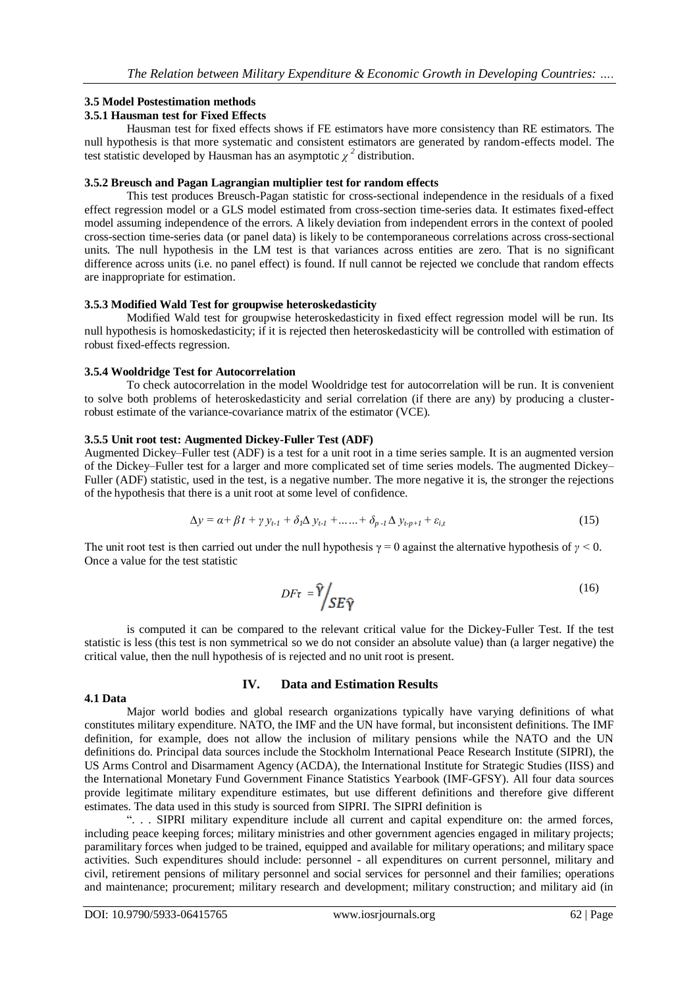#### **3.5 Model Postestimation methods**

# **3.5.1 Hausman test for Fixed Effects**

Hausman test for fixed effects shows if FE estimators have more consistency than RE estimators. The null hypothesis is that more systematic and consistent estimators are generated by random-effects model. The test statistic developed by Hausman has an asymptotic  $\chi^2$  distribution.

#### **3.5.2 Breusch and Pagan Lagrangian multiplier test for random effects**

This test produces Breusch-Pagan statistic for cross-sectional independence in the residuals of a fixed effect regression model or a GLS model estimated from cross-section time-series data. It estimates fixed-effect model assuming independence of the errors. A likely deviation from independent errors in the context of pooled cross-section time-series data (or panel data) is likely to be contemporaneous correlations across cross-sectional units. The null hypothesis in the LM test is that variances across entities are zero. That is no significant difference across units (i.e. no panel effect) is found. If null cannot be rejected we conclude that random effects are inappropriate for estimation.

#### **3.5.3 Modified Wald Test for groupwise heteroskedasticity**

Modified Wald test for groupwise heteroskedasticity in fixed effect regression model will be run. Its null hypothesis is homoskedasticity; if it is rejected then heteroskedasticity will be controlled with estimation of robust fixed-effects regression.

#### **3.5.4 Wooldridge Test for Autocorrelation**

To check autocorrelation in the model Wooldridge test for autocorrelation will be run. It is convenient to solve both problems of heteroskedasticity and serial correlation (if there are any) by producing a clusterrobust estimate of the variance-covariance matrix of the estimator (VCE).

#### **3.5.5 Unit root test: Augmented Dickey-Fuller Test (ADF)**

Augmented Dickey–Fuller test (ADF) is a test for a unit root in a time series sample. It is an augmented version of the Dickey–Fuller test for a larger and more complicated set of time series models. The augmented Dickey– Fuller (ADF) statistic, used in the test, is a negative number. The more negative it is, the stronger the rejections of the hypothesis that there is a unit root at some level of confidence.

$$
\Delta y = \alpha + \beta t + \gamma y_{t-1} + \delta_1 \Delta y_{t-1} + \dots + \delta_{p-1} \Delta y_{t-p+1} + \varepsilon_{i,t}
$$
 (15)

The unit root test is then carried out under the null hypothesis  $\gamma = 0$  against the alternative hypothesis of  $\gamma < 0$ . Once a value for the test statistic

$$
DF\tau = \hat{Y} / SE\hat{Y}
$$
 (16)

is computed it can be compared to the relevant critical value for the Dickey-Fuller Test. If the test statistic is less (this test is non symmetrical so we do not consider an absolute value) than (a larger negative) the critical value, then the null hypothesis of is rejected and no unit root is present.

#### **4.1 Data**

# **IV. Data and Estimation Results**

Major world bodies and global research organizations typically have varying definitions of what constitutes military expenditure. NATO, the IMF and the UN have formal, but inconsistent definitions. The IMF definition, for example, does not allow the inclusion of military pensions while the NATO and the UN definitions do. Principal data sources include the Stockholm International Peace Research Institute (SIPRI), the US Arms Control and Disarmament Agency (ACDA), the International Institute for Strategic Studies (IISS) and the International Monetary Fund Government Finance Statistics Yearbook (IMF-GFSY). All four data sources provide legitimate military expenditure estimates, but use different definitions and therefore give different estimates. The data used in this study is sourced from SIPRI. The SIPRI definition is

#### ―. . . SIPRI military expenditure include all current and capital expenditure on: the armed forces, including peace keeping forces; military ministries and other government agencies engaged in military projects; paramilitary forces when judged to be trained, equipped and available for military operations; and military space activities. Such expenditures should include: personnel - all expenditures on current personnel, military and civil, retirement pensions of military personnel and social services for personnel and their families; operations and maintenance; procurement; military research and development; military construction; and military aid (in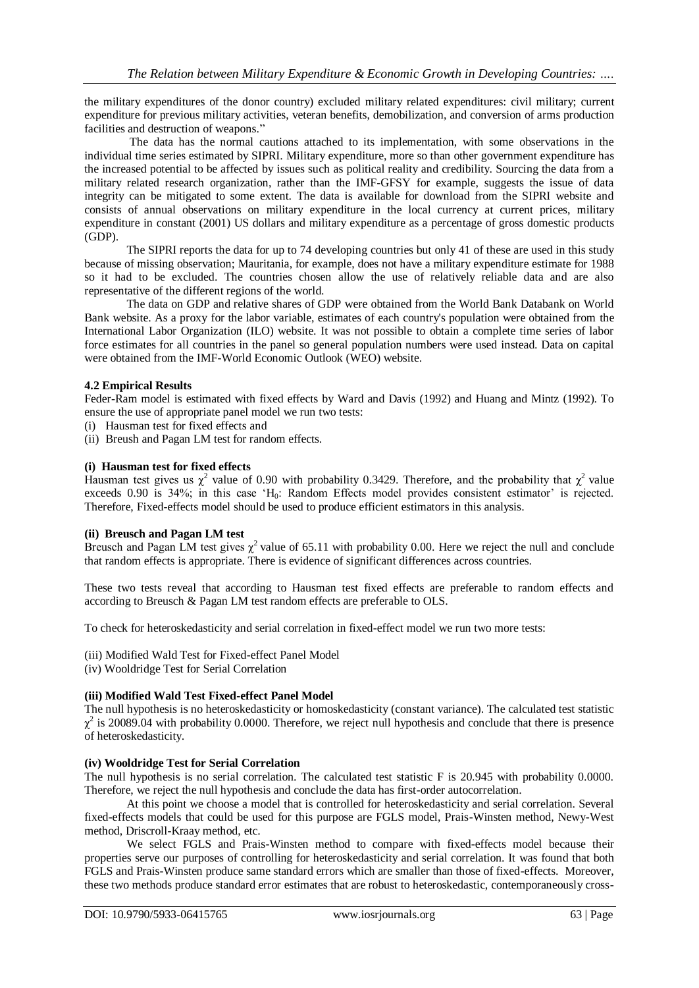the military expenditures of the donor country) excluded military related expenditures: civil military; current expenditure for previous military activities, veteran benefits, demobilization, and conversion of arms production facilities and destruction of weapons."

The data has the normal cautions attached to its implementation, with some observations in the individual time series estimated by SIPRI. Military expenditure, more so than other government expenditure has the increased potential to be affected by issues such as political reality and credibility. Sourcing the data from a military related research organization, rather than the IMF-GFSY for example, suggests the issue of data integrity can be mitigated to some extent. The data is available for download from the SIPRI website and consists of annual observations on military expenditure in the local currency at current prices, military expenditure in constant (2001) US dollars and military expenditure as a percentage of gross domestic products (GDP).

The SIPRI reports the data for up to 74 developing countries but only 41 of these are used in this study because of missing observation; Mauritania, for example, does not have a military expenditure estimate for 1988 so it had to be excluded. The countries chosen allow the use of relatively reliable data and are also representative of the different regions of the world.

The data on GDP and relative shares of GDP were obtained from the World Bank Databank on World Bank website. As a proxy for the labor variable, estimates of each country's population were obtained from the International Labor Organization (ILO) website. It was not possible to obtain a complete time series of labor force estimates for all countries in the panel so general population numbers were used instead. Data on capital were obtained from the IMF-World Economic Outlook (WEO) website.

# **4.2 Empirical Results**

Feder-Ram model is estimated with fixed effects by Ward and Davis (1992) and Huang and Mintz (1992). To ensure the use of appropriate panel model we run two tests:

- (i) Hausman test for fixed effects and
- (ii) Breush and Pagan LM test for random effects.

# **(i) Hausman test for fixed effects**

Hausman test gives us  $\chi^2$  value of 0.90 with probability 0.3429. Therefore, and the probability that  $\chi^2$  value exceeds 0.90 is 34%; in this case 'H<sub>0</sub>: Random Effects model provides consistent estimator' is rejected. Therefore, Fixed-effects model should be used to produce efficient estimators in this analysis.

#### **(ii) Breusch and Pagan LM test**

Breusch and Pagan LM test gives  $\chi^2$  value of 65.11 with probability 0.00. Here we reject the null and conclude that random effects is appropriate. There is evidence of significant differences across countries.

These two tests reveal that according to Hausman test fixed effects are preferable to random effects and according to Breusch & Pagan LM test random effects are preferable to OLS.

To check for heteroskedasticity and serial correlation in fixed-effect model we run two more tests:

- (iii) Modified Wald Test for Fixed-effect Panel Model
- (iv) Wooldridge Test for Serial Correlation

# **(iii) Modified Wald Test Fixed-effect Panel Model**

The null hypothesis is no heteroskedasticity or homoskedasticity (constant variance). The calculated test statistic  $\chi^2$  is 20089.04 with probability 0.0000. Therefore, we reject null hypothesis and conclude that there is presence of heteroskedasticity.

## **(iv) Wooldridge Test for Serial Correlation**

The null hypothesis is no serial correlation. The calculated test statistic F is 20.945 with probability 0.0000. Therefore, we reject the null hypothesis and conclude the data has first-order autocorrelation.

At this point we choose a model that is controlled for heteroskedasticity and serial correlation. Several fixed-effects models that could be used for this purpose are FGLS model, Prais-Winsten method, Newy-West method, Driscroll-Kraay method, etc.

We select FGLS and Prais-Winsten method to compare with fixed-effects model because their properties serve our purposes of controlling for heteroskedasticity and serial correlation. It was found that both FGLS and Prais-Winsten produce same standard errors which are smaller than those of fixed-effects. Moreover, these two methods produce standard error estimates that are robust to heteroskedastic, contemporaneously cross-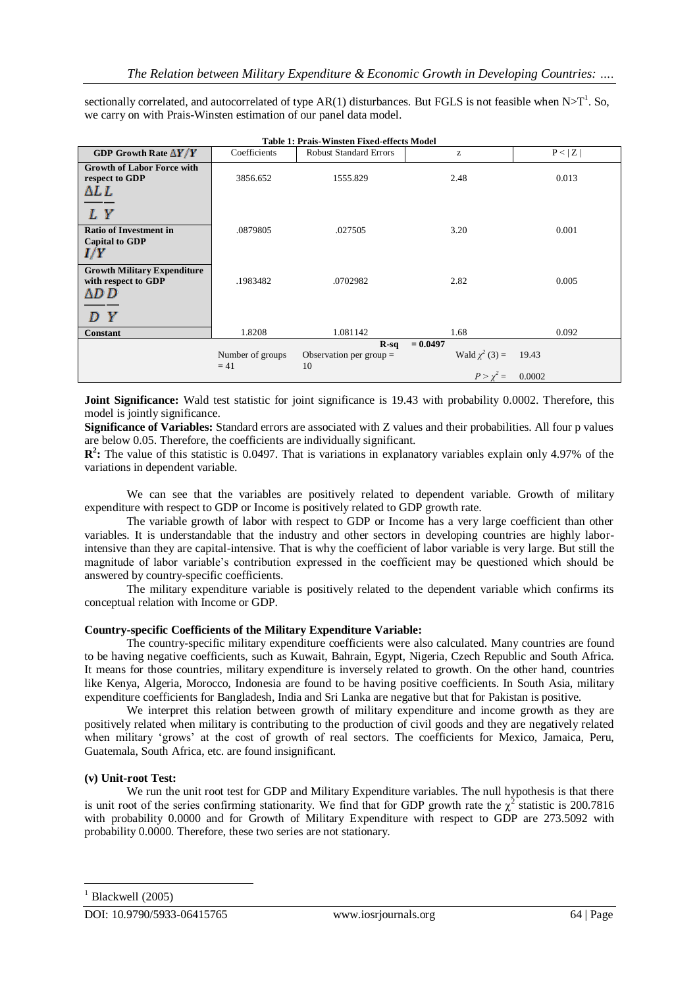sectionally correlated, and autocorrelated of type AR(1) disturbances. But FGLS is not feasible when  $N>T^1$ . So, we carry on with Prais-Winsten estimation of our panel data model.

| <b>Table 1: Prais-Winsten Fixed-effects Model</b>                           |                            |                                           |                                                       |                 |
|-----------------------------------------------------------------------------|----------------------------|-------------------------------------------|-------------------------------------------------------|-----------------|
| GDP Growth Rate $\Delta Y/Y$                                                | Coefficients               | <b>Robust Standard Errors</b>             | z                                                     | P< Z            |
| <b>Growth of Labor Force with</b><br>respect to GDP<br>ΔL L<br>LΥ           | 3856.652                   | 1555.829                                  | 2.48                                                  | 0.013           |
| <b>Ratio of Investment in</b><br><b>Capital to GDP</b><br>I/Y               | .0879805                   | .027505                                   | 3.20                                                  | 0.001           |
| <b>Growth Military Expenditure</b><br>with respect to GDP<br>ΔD D<br>Y<br>D | .1983482                   | .0702982                                  | 2.82                                                  | 0.005           |
| <b>Constant</b>                                                             | 1.8208                     | 1.081142                                  | 1.68                                                  | 0.092           |
|                                                                             | Number of groups<br>$= 41$ | $R-sq$<br>Observation per group $=$<br>10 | $= 0.0497$<br>Wald $\chi^2$ (3) =<br>$P > \gamma^2 =$ | 19.43<br>0.0002 |

**Joint Significance:** Wald test statistic for joint significance is 19.43 with probability 0.0002. Therefore, this model is jointly significance.

**Significance of Variables:** Standard errors are associated with Z values and their probabilities. All four p values are below 0.05. Therefore, the coefficients are individually significant.

**R<sup>2</sup>**: The value of this statistic is 0.0497. That is variations in explanatory variables explain only 4.97% of the variations in dependent variable.

We can see that the variables are positively related to dependent variable. Growth of military expenditure with respect to GDP or Income is positively related to GDP growth rate.

The variable growth of labor with respect to GDP or Income has a very large coefficient than other variables. It is understandable that the industry and other sectors in developing countries are highly laborintensive than they are capital-intensive. That is why the coefficient of labor variable is very large. But still the magnitude of labor variable's contribution expressed in the coefficient may be questioned which should be answered by country-specific coefficients.

The military expenditure variable is positively related to the dependent variable which confirms its conceptual relation with Income or GDP.

# **Country-specific Coefficients of the Military Expenditure Variable:**

The country-specific military expenditure coefficients were also calculated. Many countries are found to be having negative coefficients, such as Kuwait, Bahrain, Egypt, Nigeria, Czech Republic and South Africa. It means for those countries, military expenditure is inversely related to growth. On the other hand, countries like Kenya, Algeria, Morocco, Indonesia are found to be having positive coefficients. In South Asia, military expenditure coefficients for Bangladesh, India and Sri Lanka are negative but that for Pakistan is positive.

We interpret this relation between growth of military expenditure and income growth as they are positively related when military is contributing to the production of civil goods and they are negatively related when military 'grows' at the cost of growth of real sectors. The coefficients for Mexico, Jamaica, Peru, Guatemala, South Africa, etc. are found insignificant.

#### **(v) Unit-root Test:**

We run the unit root test for GDP and Military Expenditure variables. The null hypothesis is that there is unit root of the series confirming stationarity. We find that for GDP growth rate the  $\chi^2$  statistic is 200.7816 with probability 0.0000 and for Growth of Military Expenditure with respect to GDP are 273.5092 with probability 0.0000. Therefore, these two series are not stationary.

**.** 

Blackwell (2005)

DOI: 10.9790/5933-06415765 www.iosrjournals.org 64 | Page